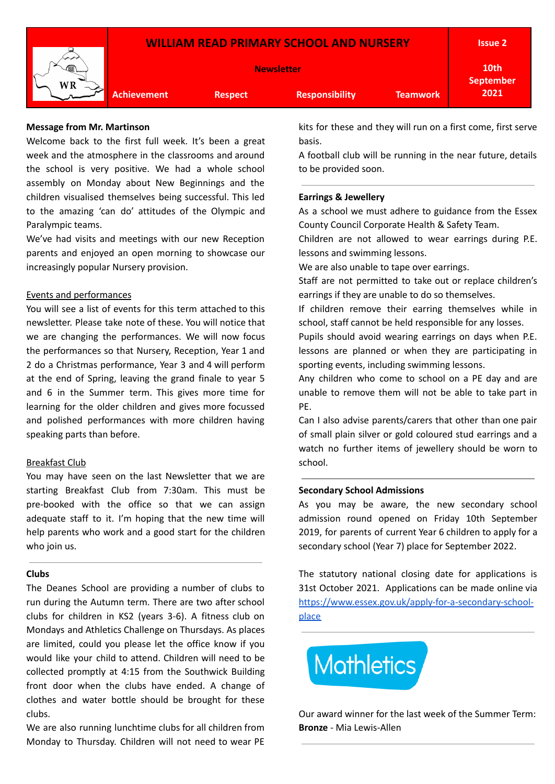



**Newsletter**

**Achievement Respect Responsibility Teamwork**

**10th September**

**2021**

**Issue 2**

#### **Message from Mr. Martinson**

Welcome back to the first full week. It's been a great week and the atmosphere in the classrooms and around the school is very positive. We had a whole school assembly on Monday about New Beginnings and the children visualised themselves being successful. This led to the amazing 'can do' attitudes of the Olympic and Paralympic teams.

We've had visits and meetings with our new Reception parents and enjoyed an open morning to showcase our increasingly popular Nursery provision.

#### Events and performances

You will see a list of events for this term attached to this newsletter. Please take note of these. You will notice that we are changing the performances. We will now focus the performances so that Nursery, Reception, Year 1 and 2 do a Christmas performance, Year 3 and 4 will perform at the end of Spring, leaving the grand finale to year 5 and 6 in the Summer term. This gives more time for learning for the older children and gives more focussed and polished performances with more children having speaking parts than before.

### Breakfast Club

You may have seen on the last Newsletter that we are starting Breakfast Club from 7:30am. This must be pre-booked with the office so that we can assign adequate staff to it. I'm hoping that the new time will help parents who work and a good start for the children who join us.

#### **Clubs**

The Deanes School are providing a number of clubs to run during the Autumn term. There are two after school clubs for children in KS2 (years 3-6). A fitness club on Mondays and Athletics Challenge on Thursdays. As places are limited, could you please let the office know if you would like your child to attend. Children will need to be collected promptly at 4:15 from the Southwick Building front door when the clubs have ended. A change of clothes and water bottle should be brought for these clubs.

We are also running lunchtime clubs for all children from Monday to Thursday. Children will not need to wear PE

kits for these and they will run on a first come, first serve basis.

A football club will be running in the near future, details to be provided soon.

#### **Earrings & Jewellery**

As a school we must adhere to guidance from the Essex County Council Corporate Health & Safety Team.

Children are not allowed to wear earrings during P.E. lessons and swimming lessons.

We are also unable to tape over earrings.

Staff are not permitted to take out or replace children's earrings if they are unable to do so themselves.

If children remove their earring themselves while in school, staff cannot be held responsible for any losses.

Pupils should avoid wearing earrings on days when P.E. lessons are planned or when they are participating in sporting events, including swimming lessons.

Any children who come to school on a PE day and are unable to remove them will not be able to take part in PE.

Can I also advise parents/carers that other than one pair of small plain silver or gold coloured stud earrings and a watch no further items of jewellery should be worn to school.

#### **Secondary School Admissions**

As you may be aware, the new secondary school admission round opened on Friday 10th September 2019, for parents of current Year 6 children to apply for a secondary school (Year 7) place for September 2022.

The statutory national closing date for applications is 31st October 2021. Applications can be made online via [https://www.essex.gov.uk/apply-for-a-secondary-school](https://www.essex.gov.uk/apply-for-a-secondary-school-place)[place](https://www.essex.gov.uk/apply-for-a-secondary-school-place)



Our award winner for the last week of the Summer Term: **Bronze** - Mia Lewis-Allen